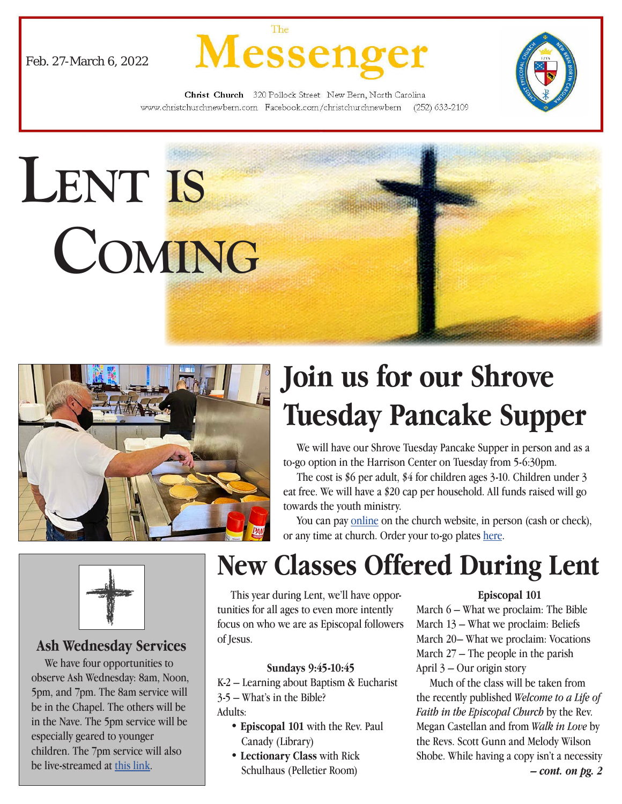





Christ Church 320 Pollock Street New Bern, North Carolina www.christchurchnewbern.com Facebook.com/christchurchnewbern (252) 633-2109





# **Join us for our Shrove Tuesday Pancake Supper**

 We will have our Shrove Tuesday Pancake Supper in person and as a to-go option in the Harrison Center on Tuesday from 5-6:30pm.

 The cost is \$6 per adult, \$4 for children ages 3-10. Children under 3 eat free. We will have a \$20 cap per household. All funds raised will go towards the youth ministry.

 You can pay [online](http://www.christchurchnewbern.com/give/) on the church website, in person (cash or check), or any time at church. Order your to-go plates [here](https://www.signupgenius.com/go/805084ba8af2da7ff2-shrove1).



#### **Ash Wednesday Services**

 We have four opportunities to observe Ash Wednesday: 8am, Noon, 5pm, and 7pm. The 8am service will be in the Chapel. The others will be in the Nave. The 5pm service will be especially geared to younger children. The 7pm service will also be live-streamed at [this link.](https://youtu.be/STcCAEB8-tg
)

## **New Classes Offered During Lent**

 This year during Lent, we'll have opportunities for all ages to even more intently focus on who we are as Episcopal followers of Jesus.

#### **Sundays 9:45-10:45**

K-2 – Learning about Baptism & Eucharist

3-5 – What's in the Bible?

Adults:

- **Episcopal 101** with the Rev. Paul Canady (Library)
- **Lectionary Class** with Rick Schulhaus (Pelletier Room)

#### **Episcopal 101**

March 6 – What we proclaim: The Bible March 13 – What we proclaim: Beliefs March 20– What we proclaim: Vocations March 27 – The people in the parish April 3 – Our origin story

 Much of the class will be taken from the recently published *Welcome to a Life of Faith in the Episcopal Church* by the Rev. Megan Castellan and from *Walk in Love* by the Revs. Scott Gunn and Melody Wilson Shobe. While having a copy isn't a necessity *– cont. on pg. 2*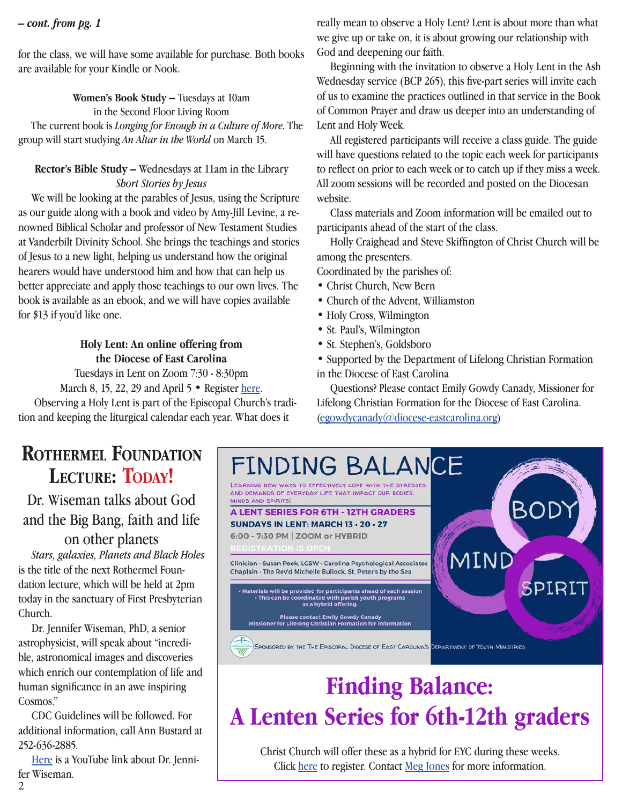#### *– cont. from pg. 1*

for the class, we will have some available for purchase. Both books are available for your Kindle or Nook.

**Women's Book Study –** Tuesdays at 10am

in the Second Floor Living Room

 The current book is *Longing for Enough in a Culture of More*. The group will start studying *An Altar in the World* on March 15.

#### **Rector's Bible Study –** Wednesdays at 11am in the Library *Short Stories by Jesus*

 We will be looking at the parables of Jesus, using the Scripture as our guide along with a book and video by Amy-Jill Levine, a renowned Biblical Scholar and professor of New Testament Studies at Vanderbilt Divinity School. She brings the teachings and stories of Jesus to a new light, helping us understand how the original hearers would have understood him and how that can help us better appreciate and apply those teachings to our own lives. The book is available as an ebook, and we will have copies available for \$13 if you'd like one.

#### **Holy Lent: An online offering from the Diocese of East Carolina**

Tuesdays in Lent on Zoom 7:30 - 8:30pm March 8, 15, 22, 29 and April 5 • Register [here](https://dioec.regfox.com/holy-lent?utm_source=Main&utm_campaign=bb574c0540-EMAIL_CAMPAIGN_2021_07_21_05_36_COPY_01&utm_medium=email&utm_term=0_da2ef98e59-bb574c0540-447638177). Observing a Holy Lent is part of the Episcopal Church's tradition and keeping the liturgical calendar each year. What does it

really mean to observe a Holy Lent? Lent is about more than what we give up or take on, it is about growing our relationship with God and deepening our faith.

 Beginning with the invitation to observe a Holy Lent in the Ash Wednesday service (BCP 265), this five-part series will invite each of us to examine the practices outlined in that service in the Book of Common Prayer and draw us deeper into an understanding of Lent and Holy Week.

 All registered participants will receive a class guide. The guide will have questions related to the topic each week for participants to reflect on prior to each week or to catch up if they miss a week. All zoom sessions will be recorded and posted on the Diocesan website.

 Class materials and Zoom information will be emailed out to participants ahead of the start of the class.

 Holly Craighead and Steve Skiffington of Christ Church will be among the presenters.

Coordinated by the parishes of:

- Christ Church, New Bern
- Church of the Advent, Williamston
- Holy Cross, Wilmington
- St. Paul's, Wilmington
- St. Stephen's, Goldsboro
- Supported by the Department of Lifelong Christian Formation in the Diocese of East Carolina

 Questions? Please contact Emily Gowdy Canady, Missioner for Lifelong Christian Formation for the Diocese of East Carolina. [\(egowdycanady@diocese-eastcarolina.org\)](mailto:egowdycanady%40diocese-eastcarolina.org?subject=)

## **Rothermel Foundation** LECTURE: TODAY!

Dr. Wiseman talks about God and the Big Bang, faith and life

on other planets *Stars, galaxies, Planets and Black Holes* is the title of the next Rothermel Foundation lecture, which will be held at 2pm today in the sanctuary of First Presbyterian Church.

 Dr. Jennifer Wiseman, PhD, a senior astrophysicist, will speak about "incredible, astronomical images and discoveries which enrich our contemplation of life and human significance in an awe inspiring Cosmos."

 CDC Guidelines will be followed. For additional information, call Ann Bustard at 252-636-2885.

 [Here](https://www.youtube.com/watch?v=pjj81La1wH0
) is a YouTube link about Dr. Jennifer Wiseman.



## **Finding Balance: A Lenten Series for 6th-12th graders**

Christ Church will offer these as a hybrid for EYC during these weeks. Click [here](https://docs.google.com/forms/d/e/1FAIpQLSfaFaktW0Rb9EtBxWTGjhzkfBdONK895MS4RQ6hm3cN9NMeQQ/viewform) to register. Contact [Meg Jones](mailto:Megjones%40christchurchnewbern.com?subject=) for more information.

2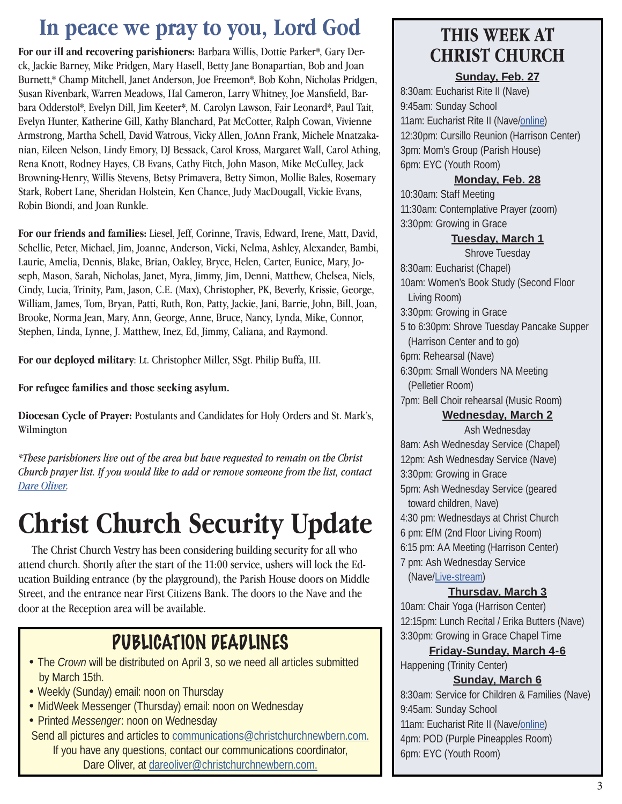## **In peace we pray to you, Lord God**

**For our ill and recovering parishioners:** Barbara Willis, Dottie Parker\*, Gary Derck, Jackie Barney, Mike Pridgen, Mary Hasell, Betty Jane Bonapartian, Bob and Joan Burnett,\* Champ Mitchell, Janet Anderson, Joe Freemon\*, Bob Kohn, Nicholas Pridgen, Susan Rivenbark, Warren Meadows, Hal Cameron, Larry Whitney, Joe Mansfield, Barbara Odderstol\*, Evelyn Dill, Jim Keeter\*, M. Carolyn Lawson, Fair Leonard\*, Paul Tait, Evelyn Hunter, Katherine Gill, Kathy Blanchard, Pat McCotter, Ralph Cowan, Vivienne Armstrong, Martha Schell, David Watrous, Vicky Allen, JoAnn Frank, Michele Mnatzakanian, Eileen Nelson, Lindy Emory, DJ Bessack, Carol Kross, Margaret Wall, Carol Athing, Rena Knott, Rodney Hayes, CB Evans, Cathy Fitch, John Mason, Mike McCulley, Jack Browning-Henry, Willis Stevens, Betsy Primavera, Betty Simon, Mollie Bales, Rosemary Stark, Robert Lane, Sheridan Holstein, Ken Chance, Judy MacDougall, Vickie Evans, Robin Biondi, and Joan Runkle.

**For our friends and families:** Liesel, Jeff, Corinne, Travis, Edward, Irene, Matt, David, Schellie, Peter, Michael, Jim, Joanne, Anderson, Vicki, Nelma, Ashley, Alexander, Bambi, Laurie, Amelia, Dennis, Blake, Brian, Oakley, Bryce, Helen, Carter, Eunice, Mary, Joseph, Mason, Sarah, Nicholas, Janet, Myra, Jimmy, Jim, Denni, Matthew, Chelsea, Niels, Cindy, Lucia, Trinity, Pam, Jason, C.E. (Max), Christopher, PK, Beverly, Krissie, George, William, James, Tom, Bryan, Patti, Ruth, Ron, Patty, Jackie, Jani, Barrie, John, Bill, Joan, Brooke, Norma Jean, Mary, Ann, George, Anne, Bruce, Nancy, Lynda, Mike, Connor, Stephen, Linda, Lynne, J. Matthew, Inez, Ed, Jimmy, Caliana, and Raymond.

**For our deployed military**: Lt. Christopher Miller, SSgt. Philip Buffa, III.

**For refugee families and those seeking asylum.**

**Diocesan Cycle of Prayer:** Postulants and Candidates for Holy Orders and St. Mark's, Wilmington

*\*These parishioners live out of the area but have requested to remain on the Christ Church prayer list. If you would like to add or remove someone from the list, contact Dare Oliver.*

# **Christ Church Security Update**

 The Christ Church Vestry has been considering building security for all who attend church. Shortly after the start of the 11:00 service, ushers will lock the Education Building entrance (by the playground), the Parish House doors on Middle Street, and the entrance near First Citizens Bank. The doors to the Nave and the door at the Reception area will be available.

## PUBLICATION DEADLINES

- The *Crown* will be distributed on April 3, so we need all articles submitted by March 15th.
- Weekly (Sunday) email: noon on Thursday
- MidWeek Messenger (Thursday) email: noon on Wednesday
- Printed *Messenger*: noon on Wednesday
- Send all pictures and articles to [communications@christchurchnewbern.com.](mailto:communications@christchurchnewbern.com) If you have any questions, contact our communications coordinator, Dare Oliver, at [dareoliver@christchurchnewbern.com.](mailto:dareoliver%40christchurchnewbern.com?subject=)

## **THIS WEEK AT CHRIST CHURCH**

#### **Sunday, Feb. 27**

8:30am: Eucharist Rite II (Nave) 9:45am: Sunday School 11am: Eucharist Rite II (Nave[/online\)](https://youtu.be/9f5GH1PDMZA) 12:30pm: Cursillo Reunion (Harrison Center) 3pm: Mom's Group (Parish House) 6pm: EYC (Youth Room)

#### **Monday, Feb. 28**

10:30am: Staff Meeting 11:30am: Contemplative Prayer (zoom) 3:30pm: Growing in Grace

#### **Tuesday, March 1**

Shrove Tuesday 8:30am: Eucharist (Chapel) 10am: Women's Book Study (Second Floor Living Room) 3:30pm: Growing in Grace 5 to 6:30pm: Shrove Tuesday Pancake Supper (Harrison Center and to go) 6pm: Rehearsal (Nave) 6:30pm: Small Wonders NA Meeting (Pelletier Room) 7pm: Bell Choir rehearsal (Music Room) **Wednesday, March 2**

Ash Wednesday 8am: Ash Wednesday Service (Chapel) 12pm: Ash Wednesday Service (Nave) 3:30pm: Growing in Grace 5pm: Ash Wednesday Service (geared toward children, Nave) 4:30 pm: Wednesdays at Christ Church 6 pm: EfM (2nd Floor Living Room) 6:15 pm: AA Meeting (Harrison Center) 7 pm: Ash Wednesday Service (Nave[/Live-stream](https://youtu.be/STcCAEB8-tg
))

#### **Thursday, March 3**

10am: Chair Yoga (Harrison Center) 12:15pm: Lunch Recital / Erika Butters (Nave) 3:30pm: Growing in Grace Chapel Time

#### **Friday-Sunday, March 4-6**

Happening (Trinity Center)

#### **Sunday, March 6**

8:30am: Service for Children & Families (Nave) 9:45am: Sunday School 11am: Eucharist Rite II (Nave[/online\)](https://youtu.be/QsSDPxXNb1g) 4pm: POD (Purple Pineapples Room) 6pm: EYC (Youth Room)